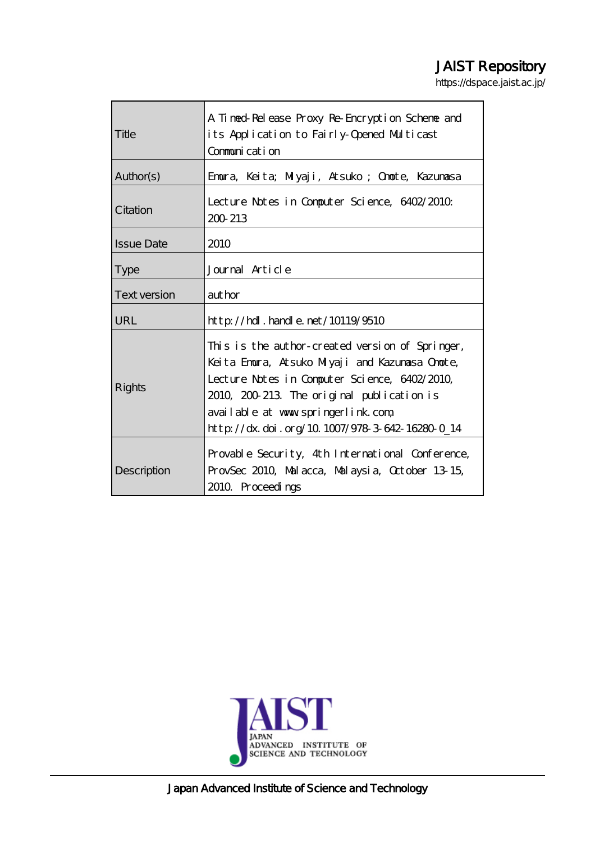# JAIST Repository

https://dspace.jaist.ac.jp/

| Title               | A Timed-Release Proxy Re-Encryption Scheme and<br>its Application to Fairly-Opened Multicast<br>Communication                                                                                                                                                                           |
|---------------------|-----------------------------------------------------------------------------------------------------------------------------------------------------------------------------------------------------------------------------------------------------------------------------------------|
| Author(s)           | Emura, Keita; Miyaji, Atsuko; Omote, Kazumasa                                                                                                                                                                                                                                           |
| Citation            | Lecture Notes in Computer Science, 6402/2010.<br>200 213                                                                                                                                                                                                                                |
| <b>Issue Date</b>   | 2010                                                                                                                                                                                                                                                                                    |
| <b>Type</b>         | Journal Article                                                                                                                                                                                                                                                                         |
| <b>Text version</b> | author                                                                                                                                                                                                                                                                                  |
| URL                 | $http$ // $hdl$ . handle. net/10119/9510                                                                                                                                                                                                                                                |
| <b>Rights</b>       | This is the author-created version of Springer,<br>Keita Emura, Atsuko Milyaji and Kazumasa Omote,<br>Lecture Notes in Computer Science, 6402/2010,<br>2010, 200 213 The original publication is<br>available at www.springerlink.com<br>http://dx.doi.org/10.1007/978-3-642-16280-0_14 |
| Description         | Provable Security, 4th International Conference,<br>ProvSec 2010, Malacca, Malaysia, October 13-15,<br>2010 Proceedings                                                                                                                                                                 |



Japan Advanced Institute of Science and Technology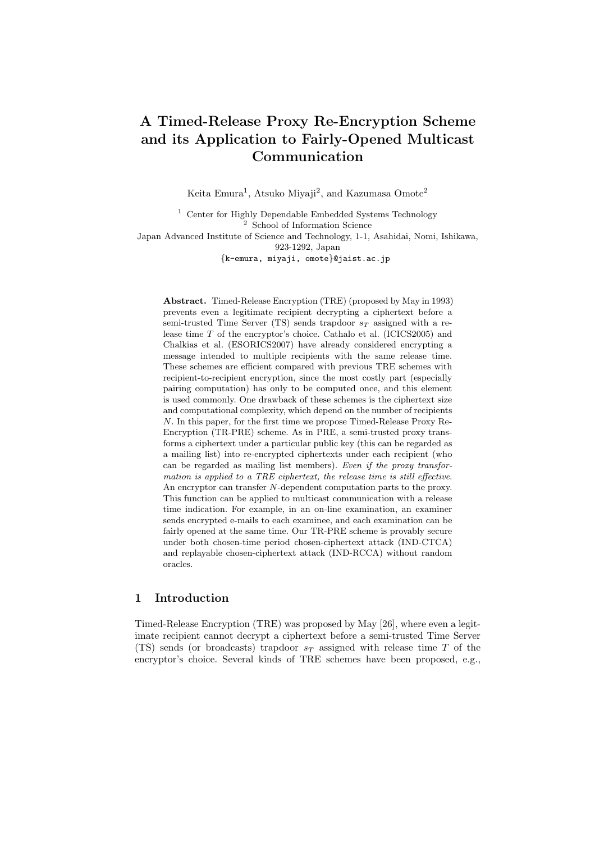## **A Timed-Release Proxy Re-Encryption Scheme and its Application to Fairly-Opened Multicast Communication**

Keita Emura<sup>1</sup>, Atsuko Miyaji<sup>2</sup>, and Kazumasa Omote<sup>2</sup>

<sup>1</sup> Center for Highly Dependable Embedded Systems Technology <sup>2</sup> School of Information Science Japan Advanced Institute of Science and Technology, 1-1, Asahidai, Nomi, Ishikawa, 923-1292, Japan *{*k-emura, miyaji, omote*}*@jaist.ac.jp

**Abstract.** Timed-Release Encryption (TRE) (proposed by May in 1993) prevents even a legitimate recipient decrypting a ciphertext before a semi-trusted Time Server (TS) sends trapdoor *s<sup>T</sup>* assigned with a release time *T* of the encryptor's choice. Cathalo et al. (ICICS2005) and Chalkias et al. (ESORICS2007) have already considered encrypting a message intended to multiple recipients with the same release time. These schemes are efficient compared with previous TRE schemes with recipient-to-recipient encryption, since the most costly part (especially pairing computation) has only to be computed once, and this element is used commonly. One drawback of these schemes is the ciphertext size and computational complexity, which depend on the number of recipients *N*. In this paper, for the first time we propose Timed-Release Proxy Re-Encryption (TR-PRE) scheme. As in PRE, a semi-trusted proxy transforms a ciphertext under a particular public key (this can be regarded as a mailing list) into re-encrypted ciphertexts under each recipient (who can be regarded as mailing list members). *Even if the proxy transformation is applied to a TRE ciphertext, the release time is still effective*. An encryptor can transfer *N*-dependent computation parts to the proxy. This function can be applied to multicast communication with a release time indication. For example, in an on-line examination, an examiner sends encrypted e-mails to each examinee, and each examination can be fairly opened at the same time. Our TR-PRE scheme is provably secure under both chosen-time period chosen-ciphertext attack (IND-CTCA) and replayable chosen-ciphertext attack (IND-RCCA) without random oracles.

## **1 Introduction**

Timed-Release Encryption (TRE) was proposed by May [26], where even a legitimate recipient cannot decrypt a ciphertext before a semi-trusted Time Server (TS) sends (or broadcasts) trapdoor  $s_T$  assigned with release time *T* of the encryptor's choice. Several kinds of TRE schemes have been proposed, e.g.,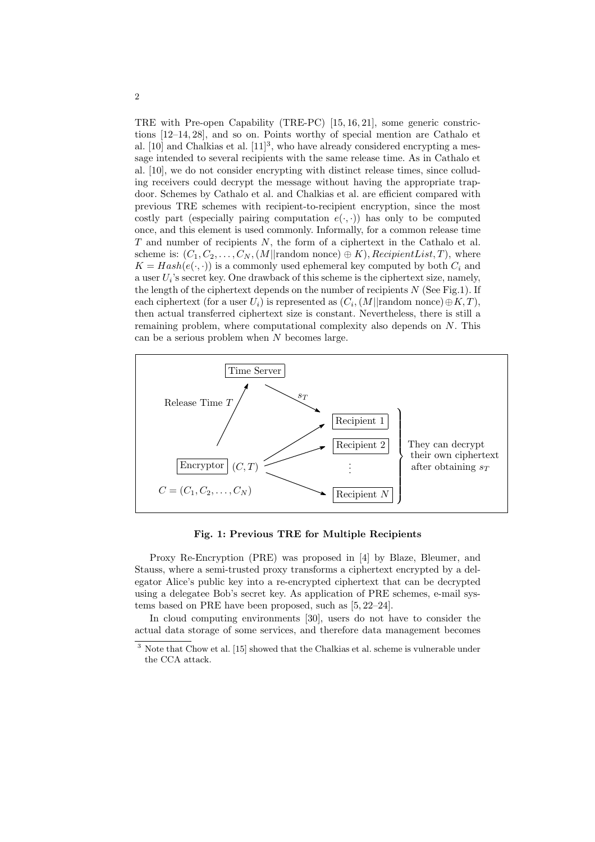TRE with Pre-open Capability (TRE-PC) [15, 16, 21], some generic constrictions [12–14, 28], and so on. Points worthy of special mention are Cathalo et al.  $[10]$  and Chalkias et al.  $[11]^3$ , who have already considered encrypting a message intended to several recipients with the same release time. As in Cathalo et al. [10], we do not consider encrypting with distinct release times, since colluding receivers could decrypt the message without having the appropriate trapdoor. Schemes by Cathalo et al. and Chalkias et al. are efficient compared with previous TRE schemes with recipient-to-recipient encryption, since the most costly part (especially pairing computation  $e(\cdot, \cdot)$ ) has only to be computed once, and this element is used commonly. Informally, for a common release time *T* and number of recipients *N*, the form of a ciphertext in the Cathalo et al. scheme is:  $(C_1, C_2, \ldots, C_N, (M||\text{random nonce}) \oplus K)$ , RecipientList, T), where  $K = Hash(e(\cdot, \cdot))$  is a commonly used ephemeral key computed by both  $C_i$  and a user *U<sup>i</sup>* 's secret key. One drawback of this scheme is the ciphertext size, namely, the length of the ciphertext depends on the number of recipients  $N$  (See Fig.1). If each ciphertext (for a user  $U_i$ ) is represented as  $(C_i, (M|| \text{random nonce}) \oplus K, T)$ , then actual transferred ciphertext size is constant. Nevertheless, there is still a remaining problem, where computational complexity also depends on *N*. This can be a serious problem when *N* becomes large.



**Fig. 1: Previous TRE for Multiple Recipients**

Proxy Re-Encryption (PRE) was proposed in [4] by Blaze, Bleumer, and Stauss, where a semi-trusted proxy transforms a ciphertext encrypted by a delegator Alice's public key into a re-encrypted ciphertext that can be decrypted using a delegatee Bob's secret key. As application of PRE schemes, e-mail systems based on PRE have been proposed, such as [5, 22–24].

In cloud computing environments [30], users do not have to consider the actual data storage of some services, and therefore data management becomes

Note that Chow et al. [15] showed that the Chalkias et al. scheme is vulnerable under the CCA attack.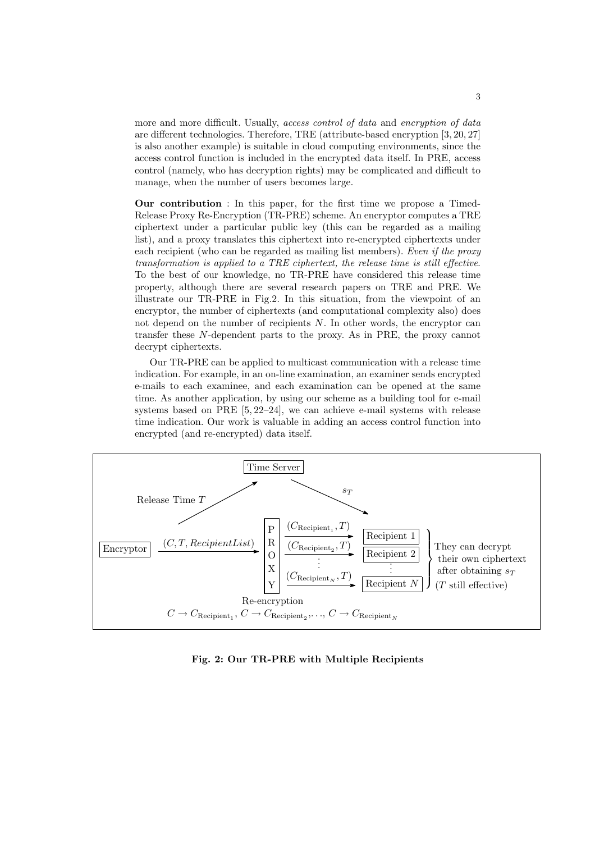more and more difficult. Usually, *access control of data* and *encryption of data* are different technologies. Therefore, TRE (attribute-based encryption [3, 20, 27] is also another example) is suitable in cloud computing environments, since the access control function is included in the encrypted data itself. In PRE, access control (namely, who has decryption rights) may be complicated and difficult to manage, when the number of users becomes large.

**Our contribution** : In this paper, for the first time we propose a Timed-Release Proxy Re-Encryption (TR-PRE) scheme. An encryptor computes a TRE ciphertext under a particular public key (this can be regarded as a mailing list), and a proxy translates this ciphertext into re-encrypted ciphertexts under each recipient (who can be regarded as mailing list members). *Even if the proxy transformation is applied to a TRE ciphertext, the release time is still effective*. To the best of our knowledge, no TR-PRE have considered this release time property, although there are several research papers on TRE and PRE. We illustrate our TR-PRE in Fig.2. In this situation, from the viewpoint of an encryptor, the number of ciphertexts (and computational complexity also) does not depend on the number of recipients *N*. In other words, the encryptor can transfer these *N*-dependent parts to the proxy. As in PRE, the proxy cannot decrypt ciphertexts.

Our TR-PRE can be applied to multicast communication with a release time indication. For example, in an on-line examination, an examiner sends encrypted e-mails to each examinee, and each examination can be opened at the same time. As another application, by using our scheme as a building tool for e-mail systems based on PRE [5, 22–24], we can achieve e-mail systems with release time indication. Our work is valuable in adding an access control function into encrypted (and re-encrypted) data itself.



**Fig. 2: Our TR-PRE with Multiple Recipients**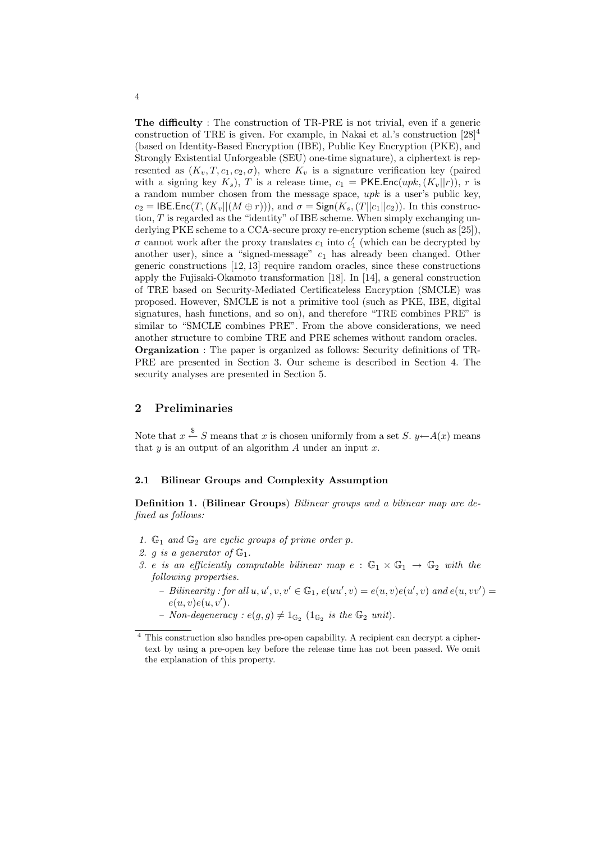**The difficulty** : The construction of TR-PRE is not trivial, even if a generic construction of TRE is given. For example, in Nakai et al.'s construction  $|28|^4$ (based on Identity-Based Encryption (IBE), Public Key Encryption (PKE), and Strongly Existential Unforgeable (SEU) one-time signature), a ciphertext is represented as  $(K_n, T, c_1, c_2, \sigma)$ , where  $K_n$  is a signature verification key (paired with a signing key  $K_s$ ), *T* is a release time,  $c_1 = \textsf{PKE}.\textsf{Enc}(upk, (K_v||r))$ , *r* is a random number chosen from the message space, *upk* is a user's public key,  $c_2 = \text{IBE}.\text{Enc}(T, (K_v||(M \oplus r)))$ , and  $\sigma = \text{Sign}(K_s, (T||c_1||c_2))$ . In this construction, *T* is regarded as the "identity" of IBE scheme. When simply exchanging underlying PKE scheme to a CCA-secure proxy re-encryption scheme (such as [25]),  $\sigma$  cannot work after the proxy translates  $c_1$  into  $c'_1$  (which can be decrypted by another user), since a "signed-message" *c*<sup>1</sup> has already been changed. Other generic constructions [12, 13] require random oracles, since these constructions apply the Fujisaki-Okamoto transformation [18]. In [14], a general construction of TRE based on Security-Mediated Certificateless Encryption (SMCLE) was proposed. However, SMCLE is not a primitive tool (such as PKE, IBE, digital signatures, hash functions, and so on), and therefore "TRE combines PRE" is similar to "SMCLE combines PRE". From the above considerations, we need another structure to combine TRE and PRE schemes without random oracles. **Organization** : The paper is organized as follows: Security definitions of TR-PRE are presented in Section 3. Our scheme is described in Section 4. The security analyses are presented in Section 5.

## **2 Preliminaries**

Note that  $x \stackrel{\$}{\leftarrow} S$  means that *x* is chosen uniformly from a set *S*.  $y \leftarrow A(x)$  means that *y* is an output of an algorithm *A* under an input *x*.

## **2.1 Bilinear Groups and Complexity Assumption**

**Definition 1.** (**Bilinear Groups**) *Bilinear groups and a bilinear map are defined as follows:*

- 1.  $\mathbb{G}_1$  *and*  $\mathbb{G}_2$  *are cyclic groups of prime order p.*
- 2. *g is a generator of*  $\mathbb{G}_1$ *.*
- *3. e is an efficiently computable bilinear map*  $e : \mathbb{G}_1 \times \mathbb{G}_1 \rightarrow \mathbb{G}_2$  with the *following properties.*
	- Bilinearity: for all  $u, u', v, v' \in \mathbb{G}_1$ ,  $e(uu', v) = e(u, v)e(u', v)$  and  $e(u, vv') =$  $e(u, v)e(u, v').$
	- *Non-degeneracy* :  $e(g, g) \neq 1_{\mathbb{G}_2}$  ( $1_{\mathbb{G}_2}$  *is the*  $\mathbb{G}_2$  *unit*).

<sup>4</sup> This construction also handles pre-open capability. A recipient can decrypt a ciphertext by using a pre-open key before the release time has not been passed. We omit the explanation of this property.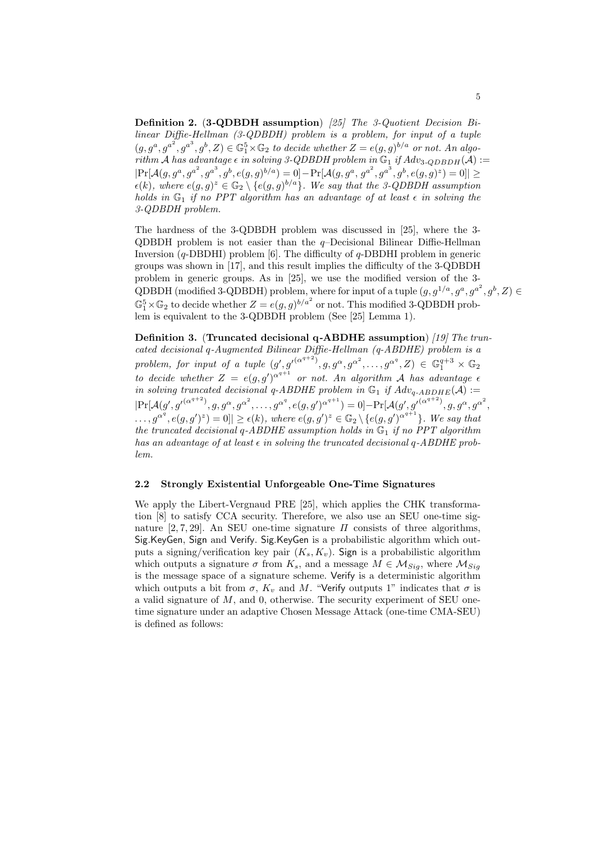**Definition 2.** (**3***-***QDBDH assumption**) *[25] The 3-Quotient Decision Bilinear Diffie-Hellman (3-QDBDH) problem is a problem, for input of a tuple*  $(g, g^a, g^{a^2}, g^{a^3}, g^b, Z) \in \mathbb{G}_1^5 \times \mathbb{G}_2$  *to decide whether*  $Z = e(g, g)^{b/a}$  *or not. An algo* $r$ *ithm A has advantage*  $\epsilon$  *in solving 3-QDBDH problem in*  $\mathbb{G}_1$  *if*  $Adv_{3-ODBDH}(\mathcal{A})$  :=  $|\Pr[\mathcal{A}(g, g^a, g^{a^2}, g^{a^3}, g^b, e(g, g)^{b/a}) = 0] - \Pr[\mathcal{A}(g, g^a, g^{a^2}, g^{a^3}, g^b, e(g, g)^z) = 0]| \ge$  $\epsilon(k)$ , where  $e(g, g)^z \in \mathbb{G}_2 \setminus \{e(g, g)^{b/a}\}.$  We say that the 3-QDBDH assumption *holds in*  $\mathbb{G}_1$  *if no PPT algorithm has an advantage of at least*  $\epsilon$  *in solving the 3-QDBDH problem.*

The hardness of the 3-QDBDH problem was discussed in [25], where the 3- QDBDH problem is not easier than the *q*–Decisional Bilinear Diffie-Hellman Inversion (*q*-DBDHI) problem [6]. The difficulty of *q*-DBDHI problem in generic groups was shown in [17], and this result implies the difficulty of the 3-QDBDH problem in generic groups. As in [25], we use the modified version of the 3- QDBDH (modified 3-QDBDH) problem, where for input of a tuple  $(g, g^{1/a}, g^a, g^{a^2}, g^b, Z) \in$  $\mathbb{G}_1^5 \times \mathbb{G}_2$  to decide whether  $Z = e(g, g)^{b/a^2}$  or not. This modified 3-QDBDH problem is equivalent to the 3-QDBDH problem (See [25] Lemma 1).

**Definition 3.** (**Truncated decisional q***-***ABDHE assumption**) *[19] The truncated decisional q-Augmented Bilinear Diffie-Hellman (q-ABDHE) problem is a problem, for input of a tuple*  $(g', g'^{(\alpha^{q+2})}, g, g^{\alpha}, g^{\alpha^2}, \ldots, g^{\alpha^q}, Z) \in \mathbb{G}_1^{q+3} \times \mathbb{G}_2$ *to decide whether*  $Z = e(g, g')^{\alpha^{q+1}}$  *or not. An algorithm A has advantage*  $\epsilon$ *in solving truncated decisional q-ABDHE problem in*  $\mathbb{G}_1$  *if*  $Adv_{q\text{-}ABDHE}(\mathcal{A})$  :=  $\Pr[\mathcal{A}(g',{g'}^{(\alpha^{q+2})},g,g^{\alpha},g^{\alpha^{2}},\ldots,g^{\alpha^{q}},e(g,g')^{\alpha^{q+1}})=0]-\Pr[\mathcal{A}(g',{g'}^{(\alpha^{q+2})},g,g^{\alpha},g^{\alpha^{2}},g^{\alpha^{2}}],$  $\ldots, g^{\alpha^q}, e(g, g')^z) = 0 \leq \epsilon(k),$  where  $e(g, g')^z \in \mathbb{G}_2 \setminus \{e(g, g')^{\alpha^{q+1}}\}.$  We say that *the truncated decisional q*-*ABDHE* assumption holds in  $\mathbb{G}_1$  *if no PPT algorithm* has an advantage of at least  $\epsilon$  in solving the truncated decisional  $q$ -ABDHE prob*lem.*

## **2.2 Strongly Existential Unforgeable One-Time Signatures**

We apply the Libert-Vergnaud PRE [25], which applies the CHK transformation [8] to satisfy CCA security. Therefore, we also use an SEU one-time signature  $[2, 7, 29]$ . An SEU one-time signature *Π* consists of three algorithms, Sig*.*KeyGen, Sign and Verify. Sig.KeyGen is a probabilistic algorithm which outputs a signing/verification key pair  $(K_s, K_v)$ . Sign is a probabilistic algorithm which outputs a signature  $\sigma$  from  $K_s$ , and a message  $M \in \mathcal{M}_{Sig}$ , where  $\mathcal{M}_{Sig}$ is the message space of a signature scheme. Verify is a deterministic algorithm which outputs a bit from  $\sigma$ ,  $K_v$  and M. "Verify outputs 1" indicates that  $\sigma$  is a valid signature of *M*, and 0, otherwise. The security experiment of SEU onetime signature under an adaptive Chosen Message Attack (one-time CMA-SEU) is defined as follows: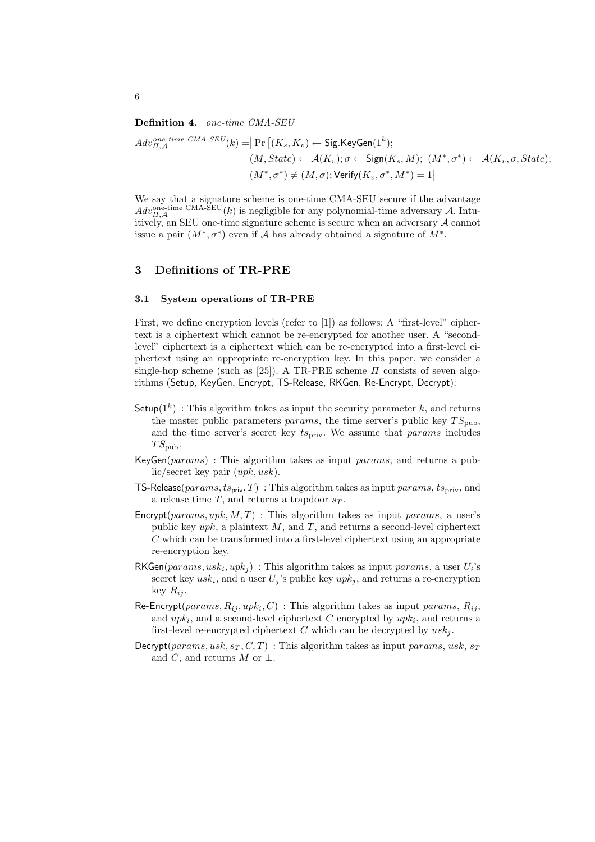**Definition 4.** *one-time CMA-SEU*

$$
Adv_{H,\mathcal{A}}^{one-time \quad CMA-SEU}(k) = \left| \Pr \left[ (K_s, K_v) \leftarrow \text{Sig.KeyGen}(1^k);
$$
  

$$
(M, State) \leftarrow \mathcal{A}(K_v); \sigma \leftarrow \text{Sign}(K_s, M); \ (M^*, \sigma^*) \leftarrow \mathcal{A}(K_v, \sigma, State);
$$
  

$$
(M^*, \sigma^*) \neq (M, \sigma); \text{Verify}(K_v, \sigma^*, M^*) = 1 \right|
$$

We say that a signature scheme is one-time CMA-SEU secure if the advantage  $Adv_{II,A}^{\text{one-time CMA-SEU}}(k)$  is negligible for any polynomial-time adversary *A*. Intuitively, an SEU one-time signature scheme is secure when an adversary *A* cannot issue a pair  $(M^*, \sigma^*)$  even if *A* has already obtained a signature of  $M^*$ .

## **3 Definitions of TR-PRE**

### **3.1 System operations of TR-PRE**

First, we define encryption levels (refer to [1]) as follows: A "first-level" ciphertext is a ciphertext which cannot be re-encrypted for another user. A "secondlevel" ciphertext is a ciphertext which can be re-encrypted into a first-level ciphertext using an appropriate re-encryption key. In this paper, we consider a single-hop scheme (such as [25]). A TR-PRE scheme *Π* consists of seven algorithms (Setup, KeyGen, Encrypt, TS-Release, RKGen, Re-Encrypt, Decrypt):

- Setup( $1^k$ ) : This algorithm takes as input the security parameter  $k$ , and returns the master public parameters *params*, the time server's public key  $TS_{\text{pub}}$ , and the time server's secret key  $ts_{\text{priv}}$ . We assume that *params* includes *T S*pub.
- KeyGen(*params*) : This algorithm takes as input *params*, and returns a public/secret key pair (*upk, usk*).
- TS-Release( $params, ts_{\text{priv}}, T$ ) : This algorithm takes as input  $params, ts_{\text{priv}},$  and a release time *T*, and returns a trapdoor *s<sup>T</sup>* .
- Encrypt(*params, upk, M, T*) : This algorithm takes as input *params*, a user's public key *upk*, a plaintext *M*, and *T*, and returns a second-level ciphertext *C* which can be transformed into a first-level ciphertext using an appropriate re-encryption key.
- $\mathsf{RKGen}(params, usk_i, upk_j)$  : This algorithm takes as input *params*, a user  $U_i$ 's secret key  $usk_i$ , and a user  $U_j$ 's public key  $upk_j$ , and returns a re-encryption key  $R_{ii}$ .
- Re-Encrypt( $params, R_{ij}, upk_i, C$ ) : This algorithm takes as input  $params, R_{ij}$ , and  $upk_i$ , and a second-level ciphertext *C* encrypted by  $upk_i$ , and returns a first-level re-encrypted ciphertext *C* which can be decrypted by  $usk<sub>i</sub>$ .
- Decrypt( $params, usk, s_T, C, T$ ) : This algorithm takes as input *params*,  $usk, s_T$ and *C*, and returns *M* or  $\perp$ .

6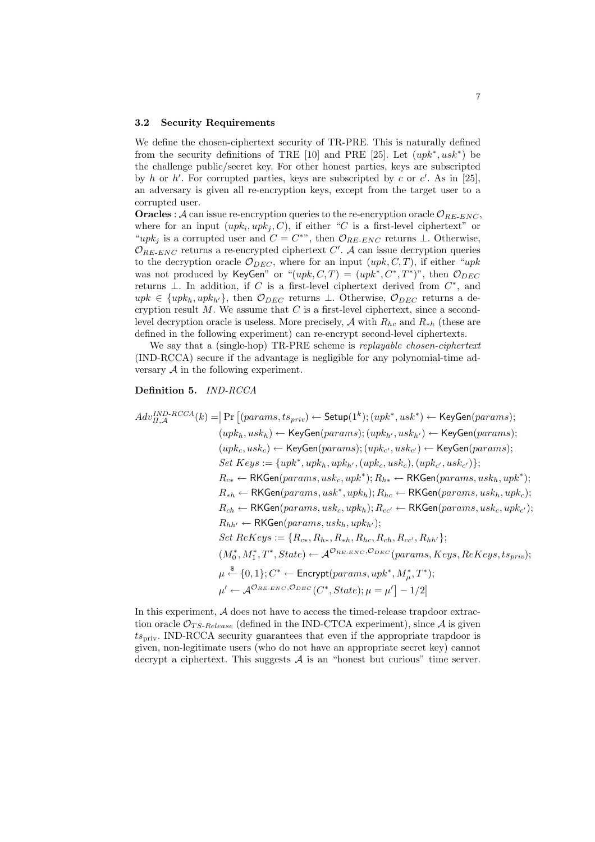#### **3.2 Security Requirements**

We define the chosen-ciphertext security of TR-PRE. This is naturally defined from the security definitions of TRE [10] and PRE [25]. Let (*upk<sup>∗</sup> , usk<sup>∗</sup>* ) be the challenge public/secret key. For other honest parties, keys are subscripted by *h* or *h'*. For corrupted parties, keys are subscripted by *c* or *c'*. As in [25], an adversary is given all re-encryption keys, except from the target user to a corrupted user.

**Oracles** :  $\mathcal{A}$  can issue re-encryption queries to the re-encryption oracle  $\mathcal{O}_{RE-ENC}$ , where for an input  $(upk_i, upk_j, C)$ , if either "*C* is a first-level ciphertext" or " $upk_j$  is a corrupted user and  $C = C^*$ ", then  $\mathcal{O}_{RE-ENC}$  returns  $\perp$ . Otherwise,  $\mathcal{O}_{RE\text{-}ENC}$  returns a re-encrypted ciphertext *C*'. *A* can issue decryption queries to the decryption oracle  $\mathcal{O}_{DEC}$ , where for an input  $(upk, C, T)$ , if either " $upk$ was not produced by KeyGen" or  $\lq(upk, C, T) = (upk^*, C^*, T^*)$ ", then  $\mathcal{O}_{DEC}$ returns *⊥*. In addition, if *C* is a first-level ciphertext derived from *C ∗* , and  $upk \in \{upk_h, upk_h\}$ , then  $\mathcal{O}_{DEC}$  returns *⊥*. Otherwise,  $\mathcal{O}_{DEC}$  returns a decryption result *M*. We assume that *C* is a first-level ciphertext, since a secondlevel decryption oracle is useless. More precisely,  $A$  with  $R_{hc}$  and  $R_{\ast h}$  (these are defined in the following experiment) can re-encrypt second-level ciphertexts.

We say that a (single-hop) TR-PRE scheme is *replayable chosen-ciphertext* (IND-RCCA) secure if the advantage is negligible for any polynomial-time adversary *A* in the following experiment.

## **Definition 5.** *IND-RCCA*

$$
Adv_{H,A}^{IND-RCCA}(k) = | \Pr \left[ (params, ts_{priv}) \leftarrow Setup(1^k); (upk^*, usk^*) \leftarrow KeyGen(params);
$$
  
\n
$$
(upk_h, usk_h) \leftarrow KeyGen(params); (upk_{h'}, usk_{h'}) \leftarrow KeyGen(params);
$$
  
\n
$$
(upk_c, usk_c) \leftarrow KeyGen(params); (upk_{c'}, usk_{c'}) \leftarrow KeyGen(params);
$$
  
\n
$$
Set \; Keys := \{upk^*, upk_h, upk_{h'}, (upk_c, usk_c), (upk_{c'}, usk_{c'})\}
$$
  
\n
$$
R_{c*} \leftarrow \text{RKGen}(params, usk_c, upk^*); R_{h*} \leftarrow \text{RKGen}(params, usk_h, upk^*);
$$
  
\n
$$
R_{ch} \leftarrow \text{RKGen}(params, usk^*, upk_h); R_{hc} \leftarrow \text{RKGen}(params, usk_h, upk_c);
$$
  
\n
$$
R_{ch} \leftarrow \text{RKGen}(params, usk_c, upk_h); R_{cc'} \leftarrow \text{RKGen}(params, usk_c, upk_{c'});
$$
  
\n
$$
R_{hh'} \leftarrow \text{RKGen}(params, usk_h, upk_{h'});
$$
  
\n
$$
Set \; ReK eys := \{R_{c*}, R_{h*}, R_{*h}, R_{hc}, R_{ch}, R_{cc'}, R_{hh'}\};
$$
  
\n
$$
(M_0^*, M_1^*, T^*, State) \leftarrow \mathcal{A}^{O_{RE-ENC}, O_{DEC}}(params, Keys, ReK eys, ts_{priv});
$$
  
\n
$$
\mu \stackrel{\$}{\leftarrow} \{0, 1\}; C^* \leftarrow \text{Encrypt}(params, upk^*, M_h^*, T^*);
$$
  
\n
$$
\mu' \leftarrow \mathcal{A}^{O_{RE-ENC}, O_{DEC}}(C^*, State); \mu = \mu' \right] - 1/2 |
$$

In this experiment, A does not have to access the timed-release trapdoor extraction oracle  $\mathcal{O}_{TS\text{-}Release}$  (defined in the IND-CTCA experiment), since  $\mathcal{A}$  is given  $ts_{\text{priv}}$ . IND-RCCA security guarantees that even if the appropriate trapdoor is given, non-legitimate users (who do not have an appropriate secret key) cannot decrypt a ciphertext. This suggests  $A$  is an "honest but curious" time server.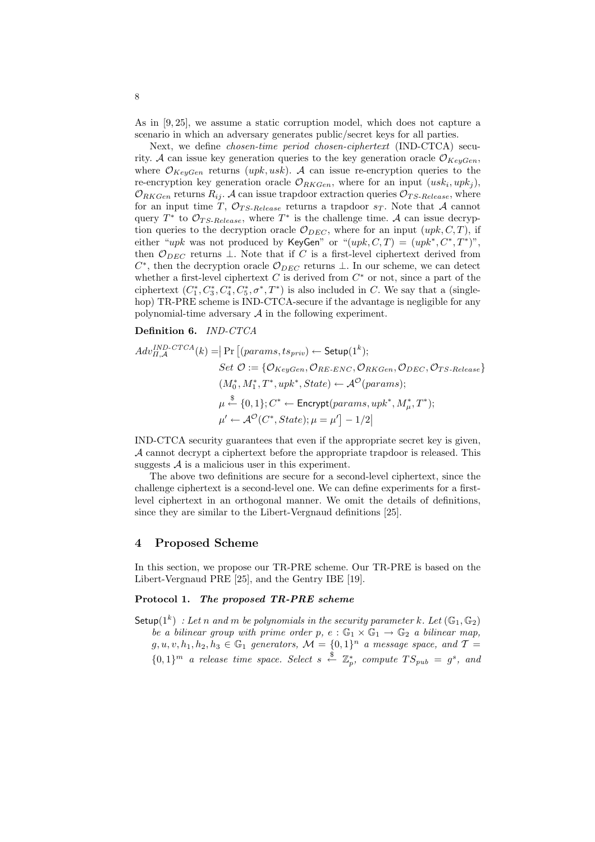As in [9, 25], we assume a static corruption model, which does not capture a scenario in which an adversary generates public/secret keys for all parties.

Next, we define *chosen-time period chosen-ciphertext* (IND-CTCA) security. *A* can issue key generation queries to the key generation oracle  $\mathcal{O}_{KeyGen}$ , where  $\mathcal{O}_{KeyGen}$  returns (*upk, usk*). *A* can issue re-encryption queries to the re-encryption key generation oracle  $\mathcal{O}_{RKGen}$ , where for an input  $(usk_i, upk_j)$ ,  $\mathcal{O}_{RKGen}$  returns  $R_{ij}$ . A can issue trapdoor extraction queries  $\mathcal{O}_{TS\text{-}Release}$ , where for an input time  $T$ ,  $\mathcal{O}_{TS\text{-}Release}$  returns a trapdoor  $s_T$ . Note that  $\mathcal A$  cannot query  $T^*$  to  $\mathcal{O}_{TS\text{-}Release}$ , where  $T^*$  is the challenge time. A can issue decryption queries to the decryption oracle  $\mathcal{O}_{DEC}$ , where for an input  $(\psi_k, C, T)$ , if either "*upk* was not produced by KeyGen" or " $(upk, C, T) = (upk^*, C^*, T^*)$ ", then  $\mathcal{O}_{DEC}$  returns  $\perp$ . Note that if *C* is a first-level ciphertext derived from *C ∗* , then the decryption oracle *ODEC* returns *⊥*. In our scheme, we can detect whether a first-level ciphertext *C* is derived from *C <sup>∗</sup>* or not, since a part of the ciphertext  $(C_1^*, C_3^*, C_4^*, C_5^*, \sigma^*, T^*)$  is also included in *C*. We say that a (singlehop) TR-PRE scheme is IND-CTCA-secure if the advantage is negligible for any polynomial-time adversary *A* in the following experiment.

**Definition 6.** *IND-CTCA*

$$
Adv_{H,A}^{IND-CTCA}(k) = |\Pr [(params, ts_{priv}) \leftarrow Setup(1^k);
$$
  
\n
$$
Set \ O := \{O_{KeyGen}, O_{RE-ENC}, O_{RKGen}, O_{DEC}, O_{TS\text{-}Release}\}
$$
  
\n
$$
(M_0^*, M_1^*, T^*, upk^*, State) \leftarrow A^{\circ}(params);
$$
  
\n
$$
\mu \stackrel{\$}{\leftarrow} \{0, 1\}; C^* \leftarrow \text{Encrypt}(params, upk^*, M_\mu^*, T^*);
$$
  
\n
$$
\mu' \leftarrow A^{\circ}(C^*, State); \mu = \mu'] - 1/2|
$$

IND-CTCA security guarantees that even if the appropriate secret key is given, *A* cannot decrypt a ciphertext before the appropriate trapdoor is released. This suggests  $A$  is a malicious user in this experiment.

The above two definitions are secure for a second-level ciphertext, since the challenge ciphertext is a second-level one. We can define experiments for a firstlevel ciphertext in an orthogonal manner. We omit the details of definitions, since they are similar to the Libert-Vergnaud definitions [25].

## **4 Proposed Scheme**

In this section, we propose our TR-PRE scheme. Our TR-PRE is based on the Libert-Vergnaud PRE [25], and the Gentry IBE [19].

## **Protocol 1.** *The proposed TR-PRE scheme*

 $\mathsf{Setup}(1^k)$  : Let  $n$  and  $m$  be polynomials in the security parameter  $k$ . Let  $(\mathbb{G}_1,\mathbb{G}_2)$ *be a bilinear group with prime order*  $p$ ,  $e : \mathbb{G}_1 \times \mathbb{G}_1 \to \mathbb{G}_2$  *a bilinear map*,  $g, u, v, h_1, h_2, h_3 \in \mathbb{G}_1$  generators,  $\mathcal{M} = \{0, 1\}^n$  a message space, and  $\mathcal{T} =$  $\{0,1\}^m$  *a* release time space. Select  $s \stackrel{\$}{\leftarrow} \mathbb{Z}_p^*$ , compute  $TS_{pub} = g^s$ , and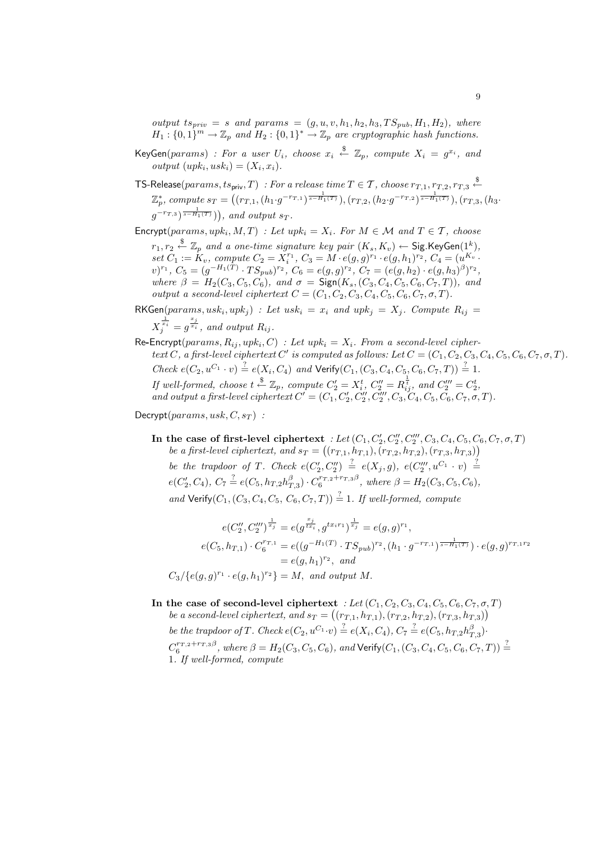$output \ ts_{priv} = s \ and \ params = (g, u, v, h_1, h_2, h_3, TS_{pub}, H_1, H_2), \ where$  $H_1: \{0,1\}^m \to \mathbb{Z}_p$  and  $H_2: \{0,1\}^* \to \mathbb{Z}_p$  are cryptographic hash functions.

- KeyGen(*params*) *: For a user*  $U_i$ , *choose*  $x_i \stackrel{\$}{\leftarrow} \mathbb{Z}_p$ , *compute*  $X_i = g^{x_i}$ , *and*  $output (upk_i, usk_i) = (X_i, x_i).$
- $\textsf{TS-Release}(params, ts_{\textsf{priv}}, T)$  *: For a release time*  $T \in \mathcal{T}$ *, choose*  $r_{T,1}, r_{T,2}, r_{T,3} \xleftarrow{\$}$  $\mathbb{Z}_p^*$ , compute  $s_T = ((r_{T,1}, (h_1 \cdot g^{-r_{T,1}})^{\frac{1}{s-H_1(T)}}), (r_{T,2}, (h_2 \cdot g^{-r_{T,2}})^{\frac{1}{s-H_1(T)}}), (r_{T,3}, (h_3 \cdot g^{-r_{T,3}})^{\frac{1}{s-H_1(T)}})$  $g^{-r_{T,3}}$  $\frac{1}{s - H_1(T)}$  ) ), and output  $s_T$ .
- $\mathsf{Encrypt}(params, upk_i, M, T)$  : Let  $upk_i = X_i$ . For  $M \in \mathcal{M}$  and  $T \in \mathcal{T}$ , choose  $r_1, r_2 \stackrel{\$}{\leftarrow} \mathbb{Z}_p$  and a one-time signature key pair  $(K_s, K_v) \leftarrow$  Sig.KeyGen $(1^k)$ , set  $C_1 := K_v$ , compute  $C_2 = X_i^{r_1}$ ,  $C_3 = M \cdot e(g, g)^{r_1} \cdot e(g, h_1)^{r_2}$ ,  $C_4 = (u^{K_v} \cdot$  $(v)^{r_1}, C_5 = (g^{-H_1(T)} \cdot TS_{pub})^{r_2}, C_6 = e(g,g)^{r_2}, C_7 = (e(g,h_2) \cdot e(g,h_3)^{\beta})^{r_2},$  $where \ \beta = H_2(C_3, C_5, C_6), \ and \ \sigma = \text{Sign}(K_s, (C_3, C_4, C_5, C_6, C_7, T)), \ and$ *output a second-level ciphertext*  $C = (C_1, C_2, C_3, C_4, C_5, C_6, C_7, \sigma, T)$ .
- $RKGen(params, usk_i, upk_j)$  : Let  $usk_i = x_i$  and  $upk_j = X_j$ . Compute  $R_{ij} =$  $X_j^{\frac{1}{x_i}} = g^{\frac{x_j}{x_i}}$ , and output  $R_{ij}$ .
- $\mathsf{Re\text{-}Encrypt}(params, R_{ij}, upk_i, C)$  *: Let*  $upk_i = X_i$ *. From a second-level cipher-* $\mathcal{I}_{\mathcal{C}}(c_1, c_2, c_3, c_4, c_5, c_6, c_7, \sigma, \mathcal{T})$ .<br>  $\mathcal{I}_{\mathcal{C}}(c_1, c_2, c_3, c_4, c_5, c_6, c_7, \sigma, \mathcal{T})$ . *Check*  $e(C_2, u^{C_1} \cdot v) \stackrel{?}{=} e(X_i, C_4)$  and Verify $(C_1, (C_3, C_4, C_5, C_6, C_7, T)) \stackrel{?}{=} 1$ . If well-formed, choose  $t \stackrel{\$}{\leftarrow} \mathbb{Z}_p$ , compute  $C_2' = X_i^t$ ,  $C_2'' = R_{ij}^{\frac{1}{t}}$ , and  $C_2''' = C_2^t$ , *and output a first-level ciphertext*  $C' = (C_1, C'_2, C''_2, C'''_2, C_3, C_4, C_5, C_6, C_7, \sigma, T)$ .

Decrypt(*params, usk, C, s<sup>T</sup>* ) *:*

 $\bf{In}$  the case of first-level ciphertext  $i$  : Let  $(C_1, C'_2, C''_2, C''_2, C_3, C_4, C_5, C_6, C_7, \sigma, T)$ *be a first-level ciphertext, and*  $s_T = ((r_{T,1}, h_{T,1}), (r_{T,2}, h_{T,2}), (r_{T,3}, h_{T,3}))$ *be the trapdoor of T. Check*  $e(C_2', C_2'') \stackrel{?}{=} e(X_j, g), e(C_2''', u^{C_1} \cdot v) \stackrel{?}{=}$  $e(C'_2, C_4), C_7 \stackrel{?}{=} e(C_5, h_{T,2}h_{T,3}^{\beta}) \cdot C_6^{r_{T,2}+r_{T,3}\beta},$  where  $\beta = H_2(C_3, C_5, C_6)$ , *and* Verify( $C_1$ ,  $(C_3, C_4, C_5, C_6, C_7, T)$ )  $\stackrel{?}{=}$  1*. If well-formed, compute* 

$$
e(C''_2, C'''_2)^{\frac{1}{x_j}} = e(g^{\frac{x_j}{tx_i}}, g^{tx_ir_1})^{\frac{1}{x_j}} = e(g, g)^{r_1},
$$
  
\n
$$
e(C_5, h_{T,1}) \cdot C_6^{r_{T,1}} = e((g^{-H_1(T)} \cdot TS_{pub})^{r_2}, (h_1 \cdot g^{-r_{T,1}})^{\frac{1}{s-H_1(T)}}) \cdot e(g, g)^{r_{T,1}r_2}
$$
  
\n
$$
= e(g, h_1)^{r_2}, \text{ and}
$$
  
\n
$$
C_3 / \{e(g, g)^{r_1} \cdot e(g, h_1)^{r_2}\} = M, \text{ and output } M.
$$

In the case of second-level ciphertext  $: Let (C_1, C_2, C_3, C_4, C_5, C_6, C_7, \sigma, T)$ *be a second-level ciphertext, and*  $s_T = ((r_{T,1}, h_{T,1}), (r_{T,2}, h_{T,2}), (r_{T,3}, h_{T,3}))$ be the trapdoor of T. Check  $e(C_2, u^{C_1} \cdot v) \stackrel{?}{=} e(X_i, C_4), C_7 \stackrel{?}{=} e(C_5, h_{T,2}h_{T,3}^{\beta})$ .  $C_6^{r_{T,2}+r_{T,3}\beta}$ , where  $\beta = H_2(C_3, C_5, C_6)$ , and  $\text{Verify}(C_1, (C_3, C_4, C_5, C_6, C_7, T)) \stackrel{?}{=}$ 1*. If well-formed, compute*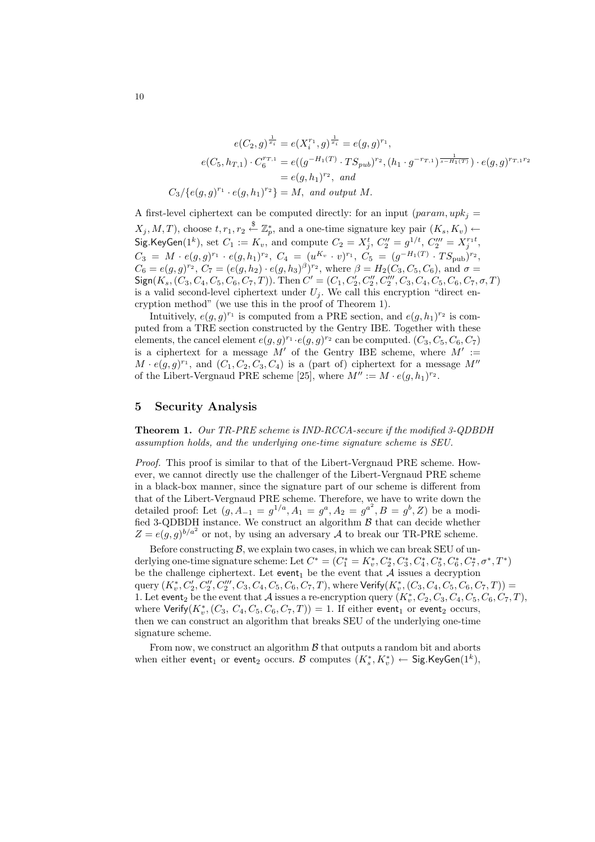$$
e(C_2, g)^{\frac{1}{x_i}} = e(X_i^{r_1}, g)^{\frac{1}{x_i}} = e(g, g)^{r_1},
$$
  
\n
$$
e(C_5, h_{T,1}) \cdot C_6^{r_{T,1}} = e((g^{-H_1(T)} \cdot TS_{pub})^{r_2}, (h_1 \cdot g^{-r_{T,1}})^{\frac{1}{s-H_1(T)}}) \cdot e(g, g)^{r_{T,1}r_2}
$$
  
\n
$$
= e(g, h_1)^{r_2}, \text{ and}
$$
  
\n
$$
C_3 / \{e(g, g)^{r_1} \cdot e(g, h_1)^{r_2}\} = M, \text{ and output } M.
$$

A first-level ciphertext can be computed directly: for an input (*param, upk<sup>j</sup>* =  $X_j, M, T$ ), choose  $t, r_1, r_2 \stackrel{\$}{\leftarrow} \mathbb{Z}_p^*$ , and a one-time signature key pair  $(K_s, K_v) \leftarrow$ Sig.KeyGen(1<sup>k</sup>), set  $C_1 := K_v$ , and compute  $C_2 = X_j^t$ ,  $C_2'' = g^{1/t}$ ,  $C_2''' = X_j^{r_1 t}$ ,  $C_3 = M \cdot e(g,g)^{r_1} \cdot e(g,h_1)^{r_2}, \ C_4 = (u^{K_v} \cdot v)^{r_1}, \ C_5 = (g^{-H_1(T)} \cdot TS_{\text{pub}})^{r_2},$  $C_6 = e(g, g)^{r_2}, C_7 = (e(g, h_2) \cdot e(g, h_3)^{\beta})^{r_2}$ , where  $\beta = H_2(C_3, C_5, C_6)$ , and  $\sigma =$  $Sign(K_s, (C_3, C_4, C_5, C_6, C_7, T))$ . Then  $C' = (C_1, C'_2, C''_2, C'''_2, C_3, C_4, C_5, C_6, C_7, \sigma, T)$ is a valid second-level ciphertext under  $U_j$ . We call this encryption "direct encryption method" (we use this in the proof of Theorem 1).

Intuitively,  $e(g, g)^{r_1}$  is computed from a PRE section, and  $e(g, h_1)^{r_2}$  is computed from a TRE section constructed by the Gentry IBE. Together with these elements, the cancel element  $e(g, g)^{r_1} \cdot e(g, g)^{r_2}$  can be computed.  $(C_3, C_5, C_6, C_7)$ is a ciphertext for a message  $M'$  of the Gentry IBE scheme, where  $M' :=$  $M \cdot e(g, g)^{r_1}$ , and  $(C_1, C_2, C_3, C_4)$  is a (part of) ciphertext for a message  $M''$ of the Libert-Vergnaud PRE scheme [25], where  $M'' := M \cdot e(g, h_1)^{r_2}$ .

## **5 Security Analysis**

**Theorem 1.** *Our TR-PRE scheme is IND-RCCA-secure if the modified 3-QDBDH assumption holds, and the underlying one-time signature scheme is SEU.*

*Proof.* This proof is similar to that of the Libert-Vergnaud PRE scheme. However, we cannot directly use the challenger of the Libert-Vergnaud PRE scheme in a black-box manner, since the signature part of our scheme is different from that of the Libert-Vergnaud PRE scheme. Therefore, we have to write down the detailed proof: Let  $(g, A_{-1} = g^{1/a}, A_1 = g^a, A_2 = g^{a^2}, B = g^b, Z$  be a modified 3-QDBDH instance. We construct an algorithm *B* that can decide whether  $Z = e(g, g)^{b/a^2}$  or not, by using an adversary *A* to break our TR-PRE scheme.

Before constructing  $\beta$ , we explain two cases, in which we can break SEU of underlying one-time signature scheme: Let  $C^* = (C_1^* = K_v^*, C_2^*, C_3^*, C_4^*, C_5^*, C_6^*, C_7^*, \sigma^*, T^*)$ be the challenge ciphertext. Let  $event_1$  be the event that  $A$  issues a decryption query  $(K_v^*, C_2', C_2'', C_2'', C_3, C_4, C_5, C_6, C_7, T)$ , where  $\mathsf{Verify}(K_v^*, (C_3, C_4, C_5, C_6, C_7, T))$  = 1. Let event<sub>2</sub> be the event that *A* issues a re-encryption query  $(K_v^*, C_2, C_3, C_4, C_5, C_6, C_7, T)$ , where  $Verify(K_v^*, (C_3, C_4, C_5, C_6, C_7, T)) = 1$ . If either event<sub>1</sub> or event<sub>2</sub> occurs, then we can construct an algorithm that breaks SEU of the underlying one-time signature scheme.

From now, we construct an algorithm  $\beta$  that outputs a random bit and aborts when either event<sub>1</sub> or event<sub>2</sub> occurs. *B* computes  $(K_s^*, K_v^*) \leftarrow$  Sig.KeyGen $(1^k)$ ,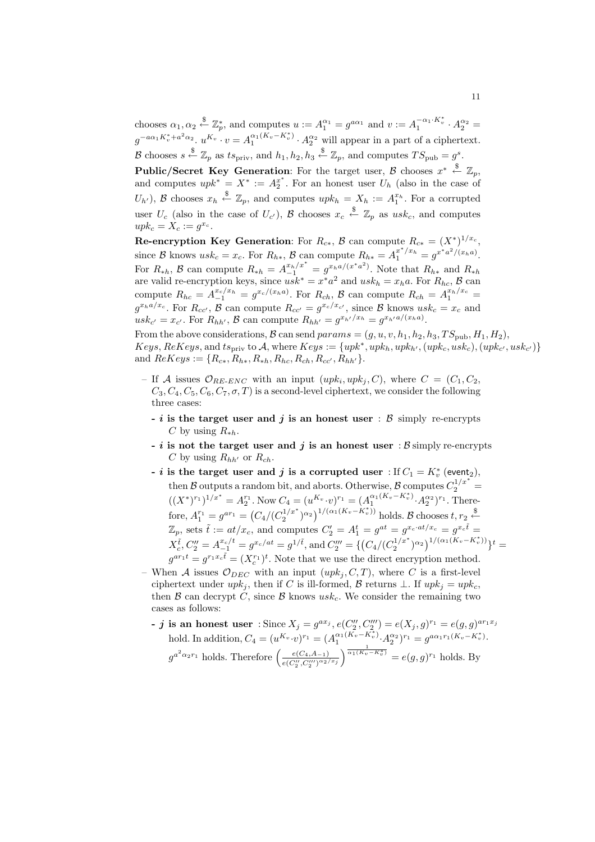chooses  $\alpha_1, \alpha_2 \stackrel{\$}{\leftarrow} \mathbb{Z}_p^*$ , and computes  $u := A_1^{\alpha_1} = g^{a\alpha_1}$  and  $v := A_1^{-\alpha_1 \cdot K_v^*} \cdot A_2^{\alpha_2} =$  $g^{-a\alpha_1 K_v^* + a^2\alpha_2}$ .  $u^{K_v} \cdot v = A_1^{\alpha_1 (K_v - K_v^*)}$  $A_1^{\alpha_1(K_v-K_v^*)} \cdot A_2^{\alpha_2}$  will appear in a part of a ciphertext. *B* chooses  $s \stackrel{\$}{\leftarrow} \mathbb{Z}_p$  as  $ts_{\text{priv}}$ , and  $h_1, h_2, h_3 \stackrel{\$}{\leftarrow} \mathbb{Z}_p$ , and computes  $TS_{\text{pub}} = g^s$ .

**Public/Secret Key Generation**: For the target user, *B* chooses *x ∗* \$*←* Z*p*, and computes  $upk^* = X^* := A_2^{x^*}$ . For an honest user  $U_h$  (also in the case of *U*<sub>*h*</sub><sup> $\prime$ </sup>), *B* chooses  $x_h \stackrel{\$}{\leftarrow} \mathbb{Z}_p$ , and computes  $upk_h = X_h := A_1^{x_h}$ . For a corrupted user  $U_c$  (also in the case of  $U_{c'}$ ),  $\beta$  chooses  $x_c \stackrel{\$}{\leftarrow} \mathbb{Z}_p$  as  $usk_c$ , and computes  $upk_c = X_c := g^{x_c}.$ 

**Re-encryption Key Generation**: For  $R_{c*}$ ,  $\beta$  can compute  $R_{c*} = (X^*)^{1/x_c}$ , since B knows  $usk_c = x_c$ . For  $R_{h*}$ , B can compute  $R_{h*} = A_1^{x^*/x_h} = g^{x^*a^2/(x_ha)}$ . For  $R_{*h}$ ,  $\beta$  can compute  $R_{*h} = A_{-1}^{x_h/x^*} = g_{x_h}^{x_h/a'(x^*a^2)}$ . Note that  $R_{h*}$  and  $R_{*h}$ are valid re-encryption keys, since  $usk^* = x^*a^2$  and  $usk_h = x_ha$ . For  $R_{hc}, \mathcal{B}$  can compute  $R_{hc} = A_{-1}^{x_c/x_h} = g^{x_c/(x_h a)}$ . For  $R_{ch}$ ,  $\beta$  can compute  $R_{ch} = A_1^{x_h/x_c} =$  $g^{x_h a/x_c}$ . For  $R_{cc'}$ ,  $\beta$  can compute  $R_{cc'} = g^{x_c/x_{c'}}$ , since  $\beta$  knows  $usk_c = x_c$  and  $usk_{c'} = x_{c'}$ . For  $R_{hh'}$ ,  $\beta$  can compute  $R_{hh'} = g^{x_{h'}/x_h} = g^{x_{h'}a/(x_ha)}$ .

From the above considerations, *B* can send  $params = (g, u, v, h_1, h_2, h_3, TS_{\text{pub}}, H_1, H_2)$ ,  $Keys, ReKeys, and ts<sub>priv</sub> to A, where  $Keys := \{upk^*, upk_h, upk_{h'}, (upk_c, usk_c), (upk_{c'}, usk_{c'})\}$$  $\text{and } ReKeys := \{R_{c*}, R_{h*}, R_{*h}, R_{hc}, R_{ch}, R_{cc'}, R_{hh'}\}.$ 

- $-$  If *A* issues  $\mathcal{O}_{RE-ENC}$  with an input  $(upk_i, upk_j, C)$ , where  $C = (C_1, C_2, C_3)$  $C_3, C_4, C_5, C_6, C_7, \sigma, T$  is a second-level ciphertext, we consider the following three cases:
	- **-** *i* is the target user and *j* is an honest user :  $\beta$  simply re-encrypts *C* by using  $R<sub>∗h</sub>$ .
	- **-** *i* **is not the target user and** *j* **is an honest user** : *B* simply re-encrypts *C* by using  $R_{hh}$  or  $R_{ch}$ .
	- **-** *i* is the target user and *j* is a corrupted user : If  $C_1 = K_v^*$  (event<sub>2</sub>), then *B* outputs a random bit, and aborts. Otherwise, *B* computes  $C_2^{1/x^*} =$  $((X^*)^{r_1})^{1/x^*} = A_2^{r_1}$ . Now  $C_4 = (u^{K_v} \cdot v)^{r_1} = (A_1^{\alpha_1(K_v - K_v^*)})^{r_2}$  $A_1^{(\alpha_1(K_v-K_v^*))}\cdot A_2^{\alpha_2})^{r_1}$ . Therefore,  $A_1^{r_1} = g^{ar_1} = (C_4/(C_2^{1/x^*})^{\alpha_2})^{1/(\alpha_1(K_v - K_v^*))}$  holds. B chooses  $t, r_2 \stackrel{\$}{\leftarrow}$  $\mathbb{Z}_p$ , sets  $\tilde{t} := at/x_c$ , and computes  $C'_2 = A_1^t = g^{at} = g^{x_c \cdot at/x_c} = g^{x_c \cdot \tilde{t}}$  $X_c^{\tilde{t}}, C_2'' = A_{-1}^{x_c/t} = g^{x_c/a t} = g^{1/\tilde{t}}, \text{and } C_2''' = \{ (C_4/(C_2^{1/x^*})^{\alpha_2})^{1/(\alpha_1(K_v - K_v^*))} \}^t =$  $g^{ar_1t} = g^{r_1x_c\tilde{t}} = (X_c^{r_1})^t$ . Note that we use the direct encryption method.
- When *A* issues  $\mathcal{O}_{DEC}$  with an input  $(\psi_k, C, T)$ , where *C* is a first-level ciphertext under  $upk_j$ , then if *C* is ill-formed, *B* returns *⊥*. If  $upk_j = upk_c$ , then  $\mathcal B$  can decrypt  $C$ , since  $\mathcal B$  knows  $usk_c$ . We consider the remaining two cases as follows:

- j is an honest user : Since  $X_j = g^{ax_j}$ ,  $e(C''_2, C'''_2) = e(X_j, g)^{r_1} = e(g, g)^{ar_1x_j}$ hold. In addition,  $C_4 = (u^{K_v} \cdot v)^{r_1} = (A_1^{\alpha_1(K_v - K_v^*)})^{r_2}$  $A_1^{\alpha_1(K_v - K_v^*)} \cdot A_2^{\alpha_2}$ <sup>*r*<sub>1</sub></sup> =  $g^{a\alpha_1 r_1(K_v - K_v^*)}$ .  $g^{a^2\alpha_2r_1}$  holds. Therefore  $\left(\frac{e(C_4, A_{-1})}{e(C_2'', C_2''')^{\alpha_2/x_j}}\right)^{\frac{1}{\alpha_1(K_v - K_v^*)}} = e(g, g)^{r_1}$  holds. By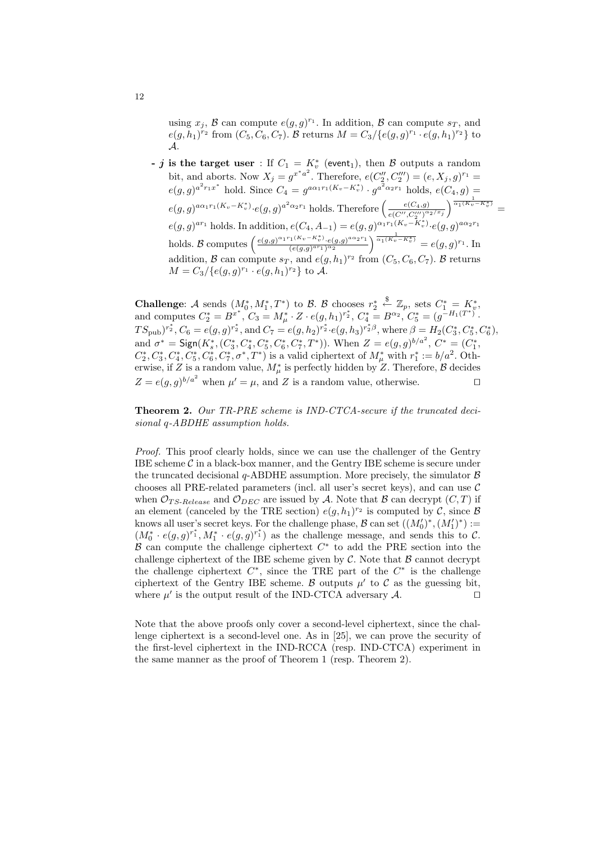using  $x_j$ ,  $\beta$  can compute  $e(g, g)^{r_1}$ . In addition,  $\beta$  can compute  $s_T$ , and  $e(g, h_1)^{r_2}$  from  $(C_5, C_6, C_7)$ . *B* returns  $M = C_3 / \{e(g, g)^{r_1} \cdot e(g, h_1)^{r_2}\}$  to *A*.

**-** *j* is the target user : If  $C_1 = K_v^*$  (event<sub>1</sub>), then *B* outputs a random bit, and aborts. Now  $X_j = g^{x^*a^2}$ . Therefore,  $e(C''_2, C'''_2) = (e, X_j, g)^{r_1} =$  $e(g,g)^{a^2r_1x^*}$  hold. Since  $C_4 = g^{a\alpha_1r_1(K_v - K_v^*)} \cdot g^{a^2\alpha_2r_1}$  holds,  $e(C_4,g)$  =  $e(g,g)^{a\alpha_1r_1(K_v-K_v^*)} \cdot e(g,g)^{a^2\alpha_2r_1}$  holds. Therefore  $\left(\frac{e(C_4,g)}{e(GU,GU)(\alpha)}\right)$  $\frac{e(C_4,g)}{e(C'',C''_2)^{\alpha_2/x_j}}\bigg)^{\frac{1}{\alpha_1(K_v-K_v^*)}} =$  $e(g,g)^{ar_1}$  holds. In addition,  $e(C_4, A_{-1}) = e(g,g)^{\alpha_1 r_1(K_v - K_v^*)} \cdot e(g,g)^{a \alpha_2 r_1}$ holds. *B* computes  $\left(\frac{e(g,g)^{\alpha_1 r_1(K_v-K_v^*)} \cdot e(g,g)^{\alpha_2 r_1}}{(e(g,g)^{\alpha_1})^{\alpha_2}}\right)$  $(e(g,g)^{ar_1})^{\alpha_2}$  $\int_{0}^{\frac{1}{\alpha_1(K_v-K_v^*)}} e(g,g)^{r_1}$ . In addition,  $\mathcal{B}$  can compute  $s_T$ , and  $e(g, h_1)^{r_2}$  from  $(C_5, C_6, C_7)$ .  $\mathcal{B}$  returns  $M = C_3 / \{e(g, g)^{r_1} \cdot e(g, h_1)^{r_2}\}\$ to *A*.

**Challenge:** *A* sends  $(M_0^*, M_1^*, T^*)$  to *B*. *B* chooses  $r_2^* \xleftarrow{\$} \mathbb{Z}_p$ , sets  $C_1^* = K_v^*$ , and computes  $C_2^* = B^{x^*}, C_3 = M_{\mu}^* \cdot Z \cdot e(g, h_1)^{r_2^*}, C_4^* = B^{\alpha_2}, C_5^* = (g^{-H_1(T^*)}).$  $TS_{\text{pub}})^{r_2^*}, C_6 = e(g, g)^{r_2^*}, \text{ and } C_7 = e(g, h_2)^{r_2^*} \cdot e(g, h_3)^{r_2^* \beta}, \text{ where } \beta = H_2(C_3^*, C_5^*, C_6^*),$ and  $\sigma^* = \text{Sign}(K_s^*, (C_3^*, C_4^*, C_5^*, C_6^*, C_7^*, T^*))$ . When  $Z = e(g, g)^{b/a^2}$ ,  $C^* = (C_1^*,$  $C_2^*, C_3^*, C_4^*, C_5^*, C_6^*, C_7^*, \sigma^*, T^*$  is a valid ciphertext of  $M_\mu^*$  with  $r_1^* := b/a^2$ . Otherwise, if *Z* is a random value,  $M^*_{\mu}$  is perfectly hidden by *Z*. Therefore, *B* decides  $Z = e(g, g)^{b/a^2}$  when  $\mu' = \mu$ , and *Z* is a random value, otherwise.

**Theorem 2.** *Our TR-PRE scheme is IND-CTCA-secure if the truncated decisional q-ABDHE assumption holds.*

*Proof.* This proof clearly holds, since we can use the challenger of the Gentry IBE scheme  $C$  in a black-box manner, and the Gentry IBE scheme is secure under the truncated decisional  $q$ -ABDHE assumption. More precisely, the simulator  $\beta$ chooses all PRE-related parameters (incl. all user's secret keys), and can use *C* when  $\mathcal{O}_{TS\text{-}Release}$  and  $\mathcal{O}_{DEC}$  are issued by *A*. Note that *B* can decrypt  $(C, T)$  if an element (canceled by the TRE section)  $e(g, h_1)^{r_2}$  is computed by  $\mathcal{C}$ , since  $\mathcal{B}$ knows all user's secret keys. For the challenge phase,  $\mathcal{B}$  can set  $((M'_0)^*, (M'_1)^*) :=$  $(M_0^* \cdot e(g,g)^{r_1^*}, M_1^* \cdot e(g,g)^{r_1^*})$  as the challenge message, and sends this to *C*. *B* can compute the challenge ciphertext  $C^*$  to add the PRE section into the challenge ciphertext of the IBE scheme given by  $\mathcal{C}$ . Note that  $\mathcal{B}$  cannot decrypt the challenge ciphertext  $C^*$ , since the TRE part of the  $C^*$  is the challenge ciphertext of the Gentry IBE scheme.  $\beta$  outputs  $\mu'$  to  $\mathcal C$  as the guessing bit, where  $\mu'$  is the output result of the IND-CTCA adversary  $\mathcal{A}$ .

Note that the above proofs only cover a second-level ciphertext, since the challenge ciphertext is a second-level one. As in [25], we can prove the security of the first-level ciphertext in the IND-RCCA (resp. IND-CTCA) experiment in the same manner as the proof of Theorem 1 (resp. Theorem 2).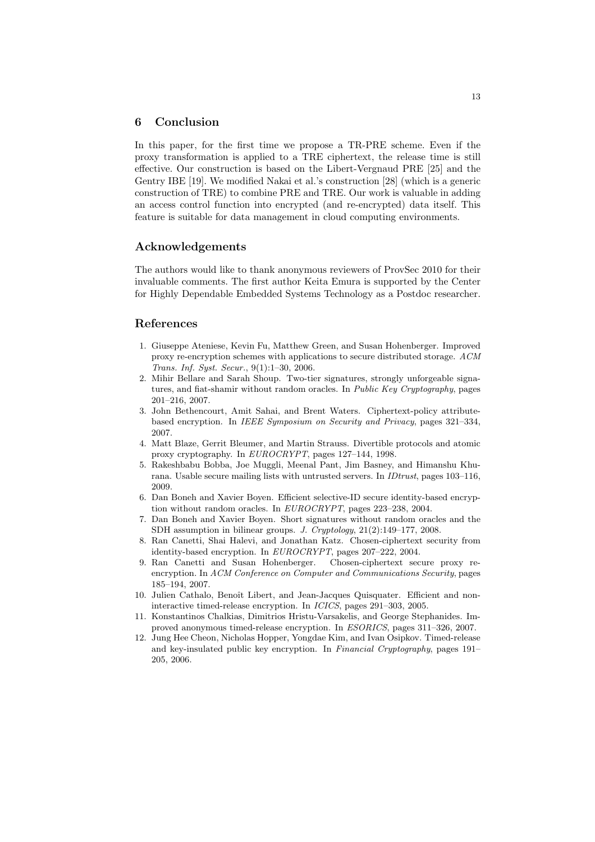## **6 Conclusion**

In this paper, for the first time we propose a TR-PRE scheme. Even if the proxy transformation is applied to a TRE ciphertext, the release time is still effective. Our construction is based on the Libert-Vergnaud PRE [25] and the Gentry IBE [19]. We modified Nakai et al.'s construction [28] (which is a generic construction of TRE) to combine PRE and TRE. Our work is valuable in adding an access control function into encrypted (and re-encrypted) data itself. This feature is suitable for data management in cloud computing environments.

## **Acknowledgements**

The authors would like to thank anonymous reviewers of ProvSec 2010 for their invaluable comments. The first author Keita Emura is supported by the Center for Highly Dependable Embedded Systems Technology as a Postdoc researcher.

## **References**

- 1. Giuseppe Ateniese, Kevin Fu, Matthew Green, and Susan Hohenberger. Improved proxy re-encryption schemes with applications to secure distributed storage. *ACM Trans. Inf. Syst. Secur.*, 9(1):1–30, 2006.
- 2. Mihir Bellare and Sarah Shoup. Two-tier signatures, strongly unforgeable signatures, and fiat-shamir without random oracles. In *Public Key Cryptography*, pages 201–216, 2007.
- 3. John Bethencourt, Amit Sahai, and Brent Waters. Ciphertext-policy attributebased encryption. In *IEEE Symposium on Security and Privacy*, pages 321–334, 2007.
- 4. Matt Blaze, Gerrit Bleumer, and Martin Strauss. Divertible protocols and atomic proxy cryptography. In *EUROCRYPT*, pages 127–144, 1998.
- 5. Rakeshbabu Bobba, Joe Muggli, Meenal Pant, Jim Basney, and Himanshu Khurana. Usable secure mailing lists with untrusted servers. In *IDtrust*, pages 103–116, 2009.
- 6. Dan Boneh and Xavier Boyen. Efficient selective-ID secure identity-based encryption without random oracles. In *EUROCRYPT*, pages 223–238, 2004.
- 7. Dan Boneh and Xavier Boyen. Short signatures without random oracles and the SDH assumption in bilinear groups. *J. Cryptology*, 21(2):149–177, 2008.
- 8. Ran Canetti, Shai Halevi, and Jonathan Katz. Chosen-ciphertext security from identity-based encryption. In *EUROCRYPT*, pages 207–222, 2004.
- 9. Ran Canetti and Susan Hohenberger. Chosen-ciphertext secure proxy reencryption. In *ACM Conference on Computer and Communications Security*, pages 185–194, 2007.
- 10. Julien Cathalo, Benoît Libert, and Jean-Jacques Quisquater. Efficient and noninteractive timed-release encryption. In *ICICS*, pages 291–303, 2005.
- 11. Konstantinos Chalkias, Dimitrios Hristu-Varsakelis, and George Stephanides. Improved anonymous timed-release encryption. In *ESORICS*, pages 311–326, 2007.
- 12. Jung Hee Cheon, Nicholas Hopper, Yongdae Kim, and Ivan Osipkov. Timed-release and key-insulated public key encryption. In *Financial Cryptography*, pages 191– 205, 2006.